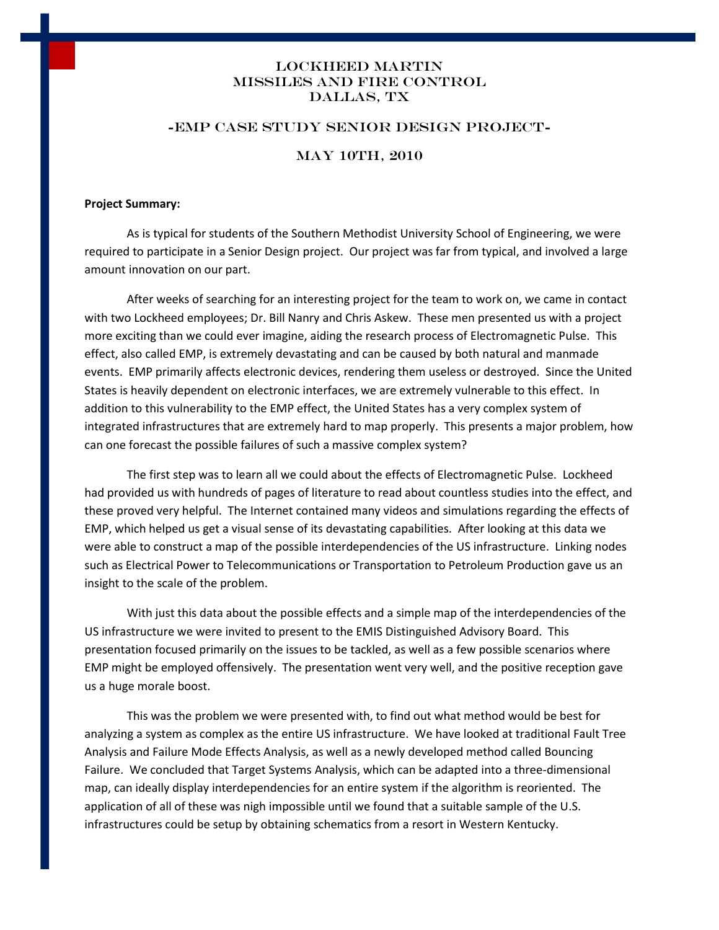# Lockheed Martin Missiles and Fire Control Dallas, TX

## -EMP Case Study Senior Design Project-

# MAY 10TH, 2010

#### **Project Summary:**

As is typical for students of the Southern Methodist University School of Engineering, we were required to participate in a Senior Design project. Our project was far from typical, and involved a large amount innovation on our part.

After weeks of searching for an interesting project for the team to work on, we came in contact with two Lockheed employees; Dr. Bill Nanry and Chris Askew. These men presented us with a project more exciting than we could ever imagine, aiding the research process of Electromagnetic Pulse. This effect, also called EMP, is extremely devastating and can be caused by both natural and manmade events. EMP primarily affects electronic devices, rendering them useless or destroyed. Since the United States is heavily dependent on electronic interfaces, we are extremely vulnerable to this effect. In addition to this vulnerability to the EMP effect, the United States has a very complex system of integrated infrastructures that are extremely hard to map properly. This presents a major problem, how can one forecast the possible failures of such a massive complex system?

The first step was to learn all we could about the effects of Electromagnetic Pulse. Lockheed had provided us with hundreds of pages of literature to read about countless studies into the effect, and these proved very helpful. The Internet contained many videos and simulations regarding the effects of EMP, which helped us get a visual sense of its devastating capabilities. After looking at this data we were able to construct a map of the possible interdependencies of the US infrastructure. Linking nodes such as Electrical Power to Telecommunications or Transportation to Petroleum Production gave us an insight to the scale of the problem.

With just this data about the possible effects and a simple map of the interdependencies of the US infrastructure we were invited to present to the EMIS Distinguished Advisory Board. This presentation focused primarily on the issues to be tackled, as well as a few possible scenarios where EMP might be employed offensively. The presentation went very well, and the positive reception gave us a huge morale boost.

This was the problem we were presented with, to find out what method would be best for analyzing a system as complex as the entire US infrastructure. We have looked at traditional Fault Tree Analysis and Failure Mode Effects Analysis, as well as a newly developed method called Bouncing Failure. We concluded that Target Systems Analysis, which can be adapted into a three-dimensional map, can ideally display interdependencies for an entire system if the algorithm is reoriented. The application of all of these was nigh impossible until we found that a suitable sample of the U.S. infrastructures could be setup by obtaining schematics from a resort in Western Kentucky.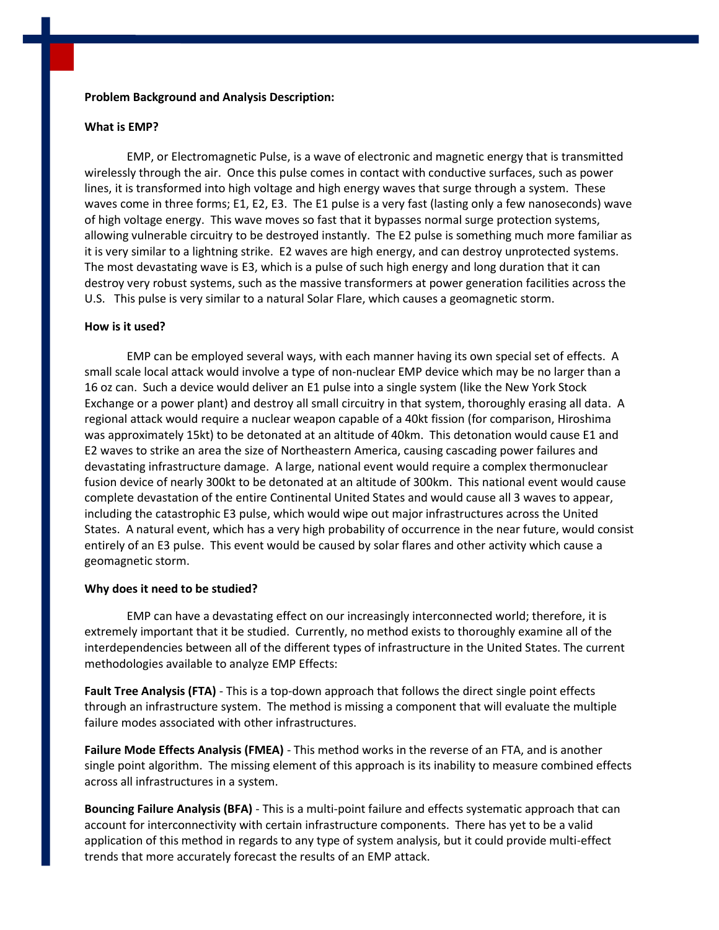# **Problem Background and Analysis Description:**

#### **What is EMP?**

EMP, or Electromagnetic Pulse, is a wave of electronic and magnetic energy that is transmitted wirelessly through the air. Once this pulse comes in contact with conductive surfaces, such as power lines, it is transformed into high voltage and high energy waves that surge through a system. These waves come in three forms; E1, E2, E3. The E1 pulse is a very fast (lasting only a few nanoseconds) wave of high voltage energy. This wave moves so fast that it bypasses normal surge protection systems, allowing vulnerable circuitry to be destroyed instantly. The E2 pulse is something much more familiar as it is very similar to a lightning strike. E2 waves are high energy, and can destroy unprotected systems. The most devastating wave is E3, which is a pulse of such high energy and long duration that it can destroy very robust systems, such as the massive transformers at power generation facilities across the U.S. This pulse is very similar to a natural Solar Flare, which causes a geomagnetic storm.

# **How is it used?**

EMP can be employed several ways, with each manner having its own special set of effects. A small scale local attack would involve a type of non-nuclear EMP device which may be no larger than a 16 oz can. Such a device would deliver an E1 pulse into a single system (like the New York Stock Exchange or a power plant) and destroy all small circuitry in that system, thoroughly erasing all data. A regional attack would require a nuclear weapon capable of a 40kt fission (for comparison, Hiroshima was approximately 15kt) to be detonated at an altitude of 40km. This detonation would cause E1 and E2 waves to strike an area the size of Northeastern America, causing cascading power failures and devastating infrastructure damage. A large, national event would require a complex thermonuclear fusion device of nearly 300kt to be detonated at an altitude of 300km. This national event would cause complete devastation of the entire Continental United States and would cause all 3 waves to appear, including the catastrophic E3 pulse, which would wipe out major infrastructures across the United States. A natural event, which has a very high probability of occurrence in the near future, would consist entirely of an E3 pulse. This event would be caused by solar flares and other activity which cause a geomagnetic storm.

#### **Why does it need to be studied?**

EMP can have a devastating effect on our increasingly interconnected world; therefore, it is extremely important that it be studied. Currently, no method exists to thoroughly examine all of the interdependencies between all of the different types of infrastructure in the United States. The current methodologies available to analyze EMP Effects:

**Fault Tree Analysis (FTA)** - This is a top-down approach that follows the direct single point effects through an infrastructure system. The method is missing a component that will evaluate the multiple failure modes associated with other infrastructures.

**Failure Mode Effects Analysis (FMEA)** - This method works in the reverse of an FTA, and is another single point algorithm. The missing element of this approach is its inability to measure combined effects across all infrastructures in a system.

**Bouncing Failure Analysis (BFA)** - This is a multi-point failure and effects systematic approach that can account for interconnectivity with certain infrastructure components. There has yet to be a valid application of this method in regards to any type of system analysis, but it could provide multi-effect trends that more accurately forecast the results of an EMP attack.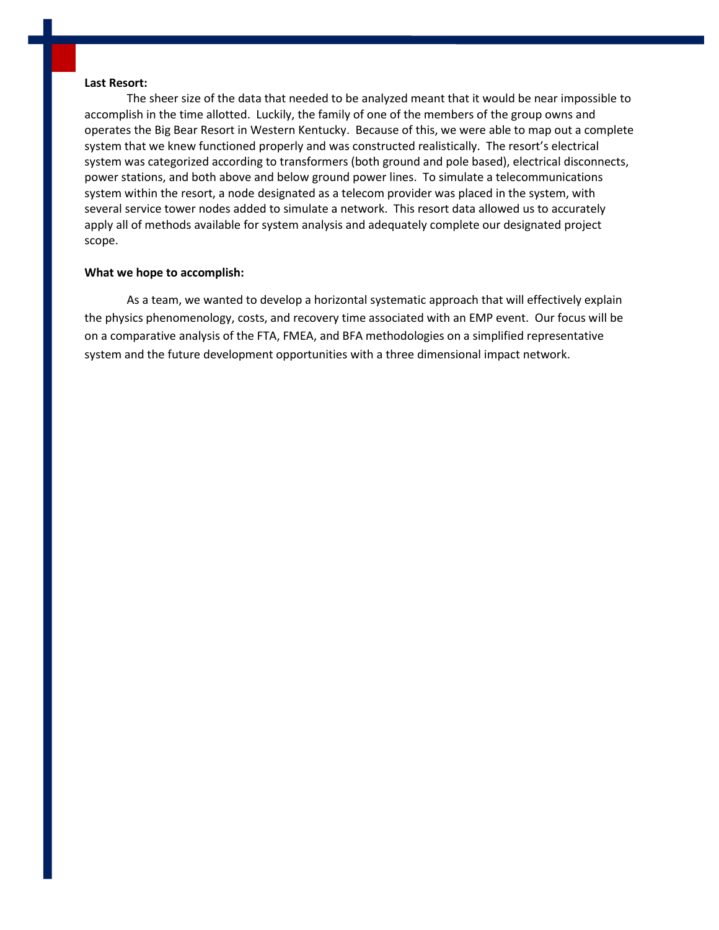# **Last Resort:**

The sheer size of the data that needed to be analyzed meant that it would be near impossible to accomplish in the time allotted. Luckily, the family of one of the members of the group owns and operates the Big Bear Resort in Western Kentucky. Because of this, we were able to map out a complete system that we knew functioned properly and was constructed realistically. The resort's electrical system was categorized according to transformers (both ground and pole based), electrical disconnects, power stations, and both above and below ground power lines. To simulate a telecommunications system within the resort, a node designated as a telecom provider was placed in the system, with several service tower nodes added to simulate a network. This resort data allowed us to accurately apply all of methods available for system analysis and adequately complete our designated project scope.

#### **What we hope to accomplish:**

As a team, we wanted to develop a horizontal systematic approach that will effectively explain the physics phenomenology, costs, and recovery time associated with an EMP event. Our focus will be on a comparative analysis of the FTA, FMEA, and BFA methodologies on a simplified representative system and the future development opportunities with a three dimensional impact network.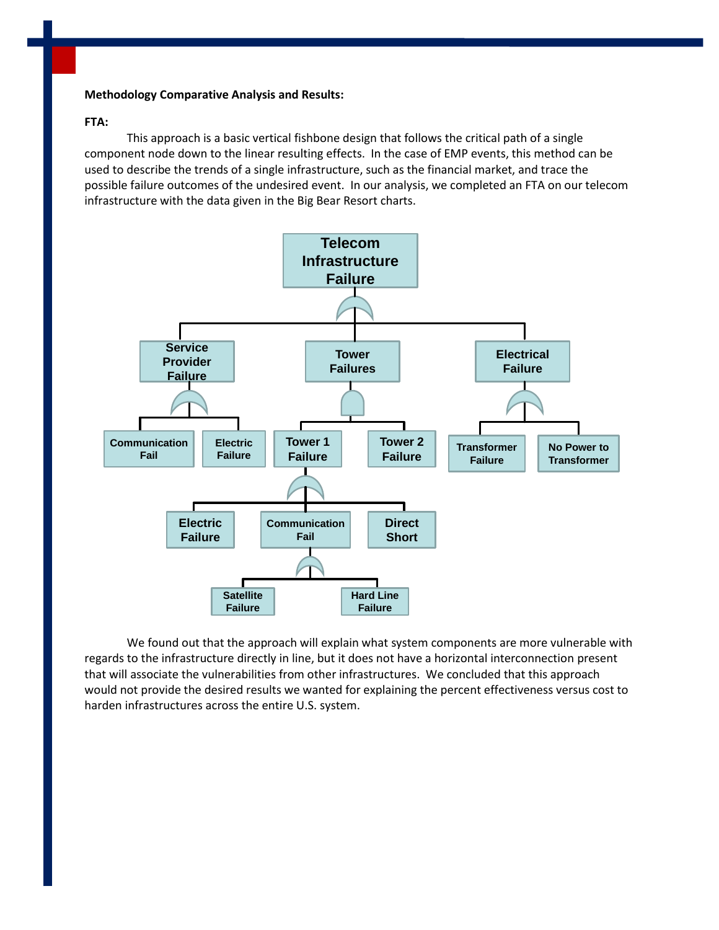# **Methodology Comparative Analysis and Results:**

# **FTA:**

This approach is a basic vertical fishbone design that follows the critical path of a single component node down to the linear resulting effects. In the case of EMP events, this method can be used to describe the trends of a single infrastructure, such as the financial market, and trace the possible failure outcomes of the undesired event. In our analysis, we completed an FTA on our telecom infrastructure with the data given in the Big Bear Resort charts.



We found out that the approach will explain what system components are more vulnerable with regards to the infrastructure directly in line, but it does not have a horizontal interconnection present that will associate the vulnerabilities from other infrastructures. We concluded that this approach would not provide the desired results we wanted for explaining the percent effectiveness versus cost to harden infrastructures across the entire U.S. system.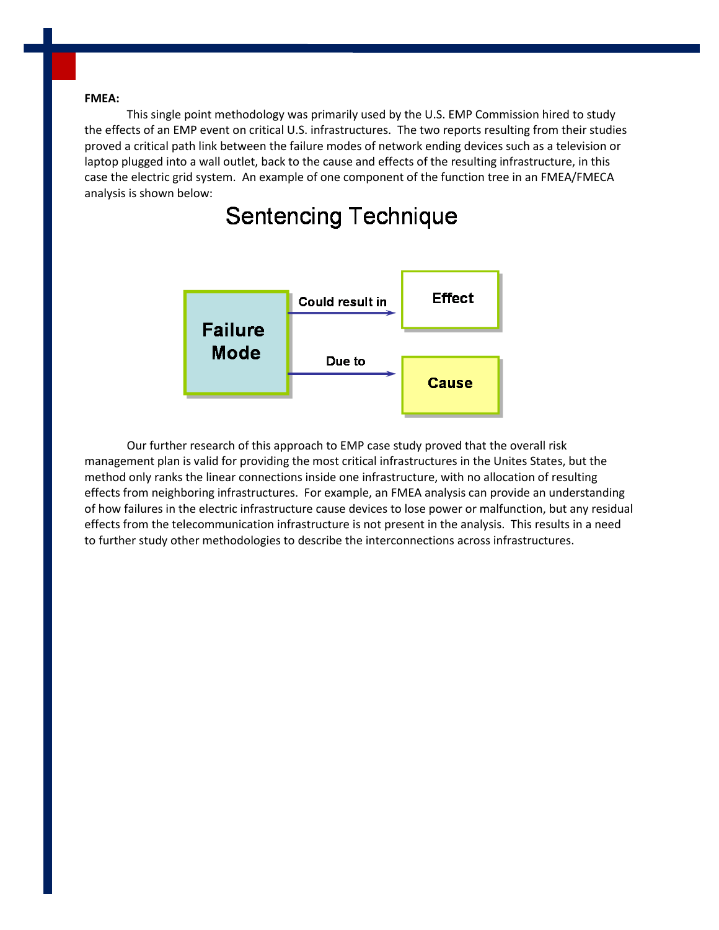#### **FMEA:**

This single point methodology was primarily used by the U.S. EMP Commission hired to study the effects of an EMP event on critical U.S. infrastructures. The two reports resulting from their studies proved a critical path link between the failure modes of network ending devices such as a television or laptop plugged into a wall outlet, back to the cause and effects of the resulting infrastructure, in this case the electric grid system. An example of one component of the function tree in an FMEA/FMECA analysis is shown below:



# **Sentencing Technique**

Our further research of this approach to EMP case study proved that the overall risk management plan is valid for providing the most critical infrastructures in the Unites States, but the method only ranks the linear connections inside one infrastructure, with no allocation of resulting effects from neighboring infrastructures. For example, an FMEA analysis can provide an understanding of how failures in the electric infrastructure cause devices to lose power or malfunction, but any residual effects from the telecommunication infrastructure is not present in the analysis. This results in a need to further study other methodologies to describe the interconnections across infrastructures.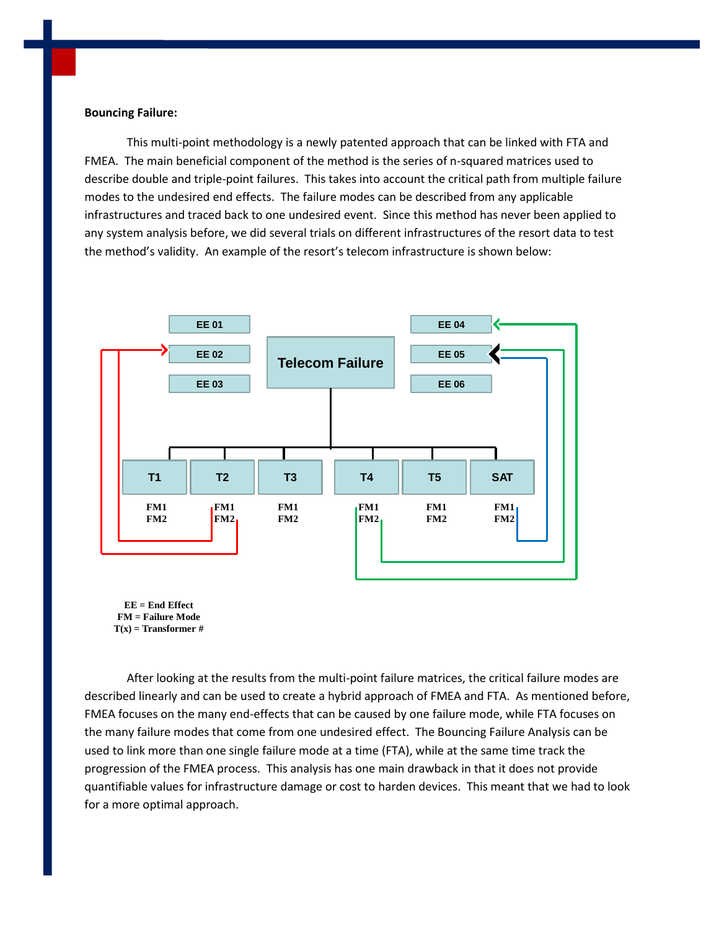#### **Bouncing Failure:**

This multi-point methodology is a newly patented approach that can be linked with FTA and FMEA. The main beneficial component of the method is the series of n-squared matrices used to describe double and triple-point failures. This takes into account the critical path from multiple failure modes to the undesired end effects. The failure modes can be described from any applicable infrastructures and traced back to one undesired event. Since this method has never been applied to any system analysis before, we did several trials on different infrastructures of the resort data to test the method's validity. An example of the resort's telecom infrastructure is shown below:



**EE = End Effect FM = Failure Mode T(x) = Transformer #**

After looking at the results from the multi-point failure matrices, the critical failure modes are described linearly and can be used to create a hybrid approach of FMEA and FTA. As mentioned before, FMEA focuses on the many end-effects that can be caused by one failure mode, while FTA focuses on the many failure modes that come from one undesired effect. The Bouncing Failure Analysis can be used to link more than one single failure mode at a time (FTA), while at the same time track the progression of the FMEA process. This analysis has one main drawback in that it does not provide quantifiable values for infrastructure damage or cost to harden devices. This meant that we had to look for a more optimal approach.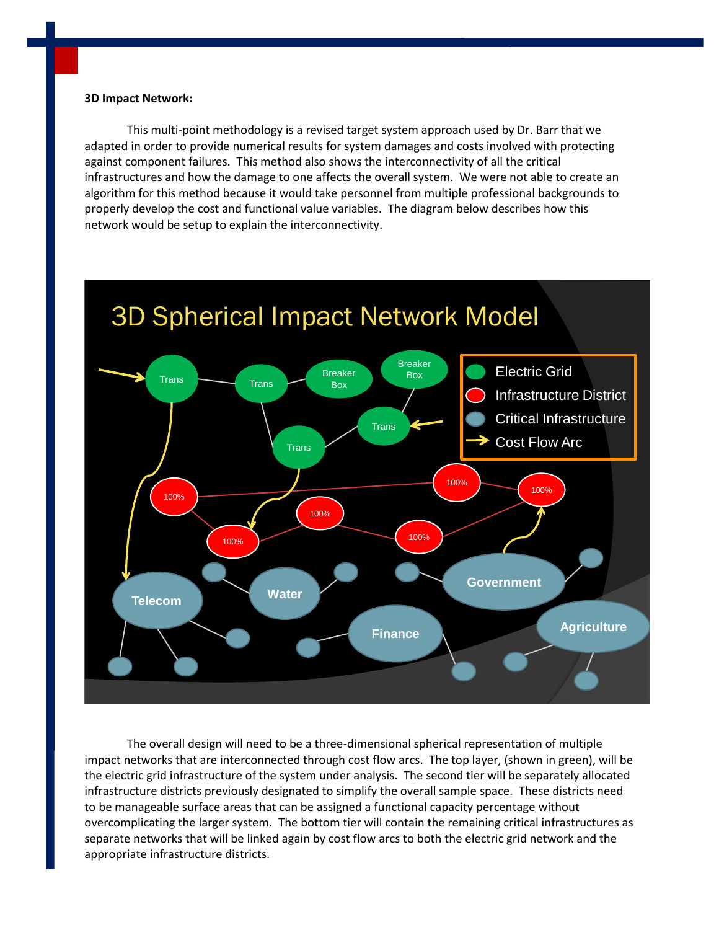#### **3D Impact Network:**

This multi-point methodology is a revised target system approach used by Dr. Barr that we adapted in order to provide numerical results for system damages and costs involved with protecting against component failures. This method also shows the interconnectivity of all the critical infrastructures and how the damage to one affects the overall system. We were not able to create an algorithm for this method because it would take personnel from multiple professional backgrounds to properly develop the cost and functional value variables. The diagram below describes how this network would be setup to explain the interconnectivity.



The overall design will need to be a three-dimensional spherical representation of multiple impact networks that are interconnected through cost flow arcs. The top layer, (shown in green), will be the electric grid infrastructure of the system under analysis. The second tier will be separately allocated infrastructure districts previously designated to simplify the overall sample space. These districts need to be manageable surface areas that can be assigned a functional capacity percentage without overcomplicating the larger system. The bottom tier will contain the remaining critical infrastructures as separate networks that will be linked again by cost flow arcs to both the electric grid network and the appropriate infrastructure districts.